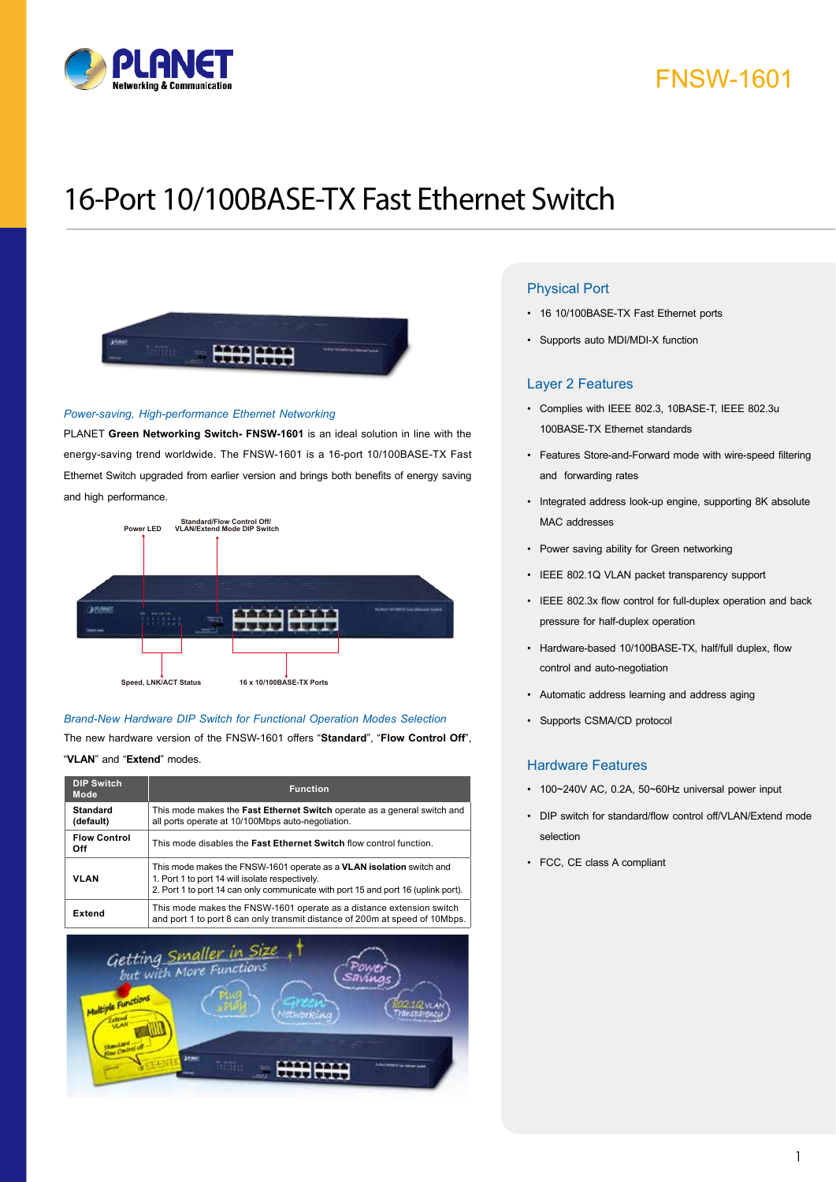

# FNSW-1601

# 16-Port 10/100BASE-TX Fast Ethernet Switch



#### *Power-saving, High-performance Ethernet Networking*

PLANET **Green Networking Switch- FNSW-1601** is an ideal solution in line with the energy-saving trend worldwide. The FNSW-1601 is a 16-port 10/100BASE-TX Fast Ethernet Switch upgraded from earlier version and brings both benefits of energy saving and high performance.



### *Brand-New Hardware DIP Switch for Functional Operation Modes Selection*

The new hardware version of the FNSW-1601 offers "**Standard**", "**Flow Control Off**",

### "**VLAN**" and "**Extend**" modes.

| <b>DIP Switch</b><br>Mode    | Function                                                                                                                                                                                                     |
|------------------------------|--------------------------------------------------------------------------------------------------------------------------------------------------------------------------------------------------------------|
| <b>Standard</b><br>(default) | This mode makes the <b>Fast Ethernet Switch</b> operate as a general switch and<br>all ports operate at 10/100Mbps auto-negotiation.                                                                         |
| <b>Flow Control</b><br>Off   | This mode disables the Fast Ethernet Switch flow control function.                                                                                                                                           |
| <b>VLAN</b>                  | This mode makes the FNSW-1601 operate as a VLAN isolation switch and<br>1. Port 1 to port 14 will isolate respectively.<br>2. Port 1 to port 14 can only communicate with port 15 and port 16 (uplink port). |
| <b>Extend</b>                | This mode makes the FNSW-1601 operate as a distance extension switch<br>and port 1 to port 8 can only transmit distance of 200m at speed of 10Mbps.                                                          |



### Physical Port

- • 16 10/100BASE-TX Fast Ethernet ports
- • Supports auto MDI/MDI-X function

#### Layer 2 Features

- • Complies with IEEE 802.3, 10BASE-T, IEEE 802.3u 100BASE-TX Ethernet standards
- • Features Store-and-Forward mode with wire-speed filtering and forwarding rates
- Integrated address look-up engine, supporting 8K absolute MAC addresses
- • Power saving ability for Green networking
- • IEEE 802.1Q VLAN packet transparency support
- • IEEE 802.3x flow control for full-duplex operation and back pressure for half-duplex operation
- • Hardware-based 10/100BASE-TX, half/full duplex, flow control and auto-negotiation
- • Automatic address learning and address aging
- • Supports CSMA/CD protocol

### Hardware Features

- • 100~240V AC, 0.2A, 50~60Hz universal power input
- • DIP switch for standard/flow control off/VLAN/Extend mode selection
- • FCC, CE class A compliant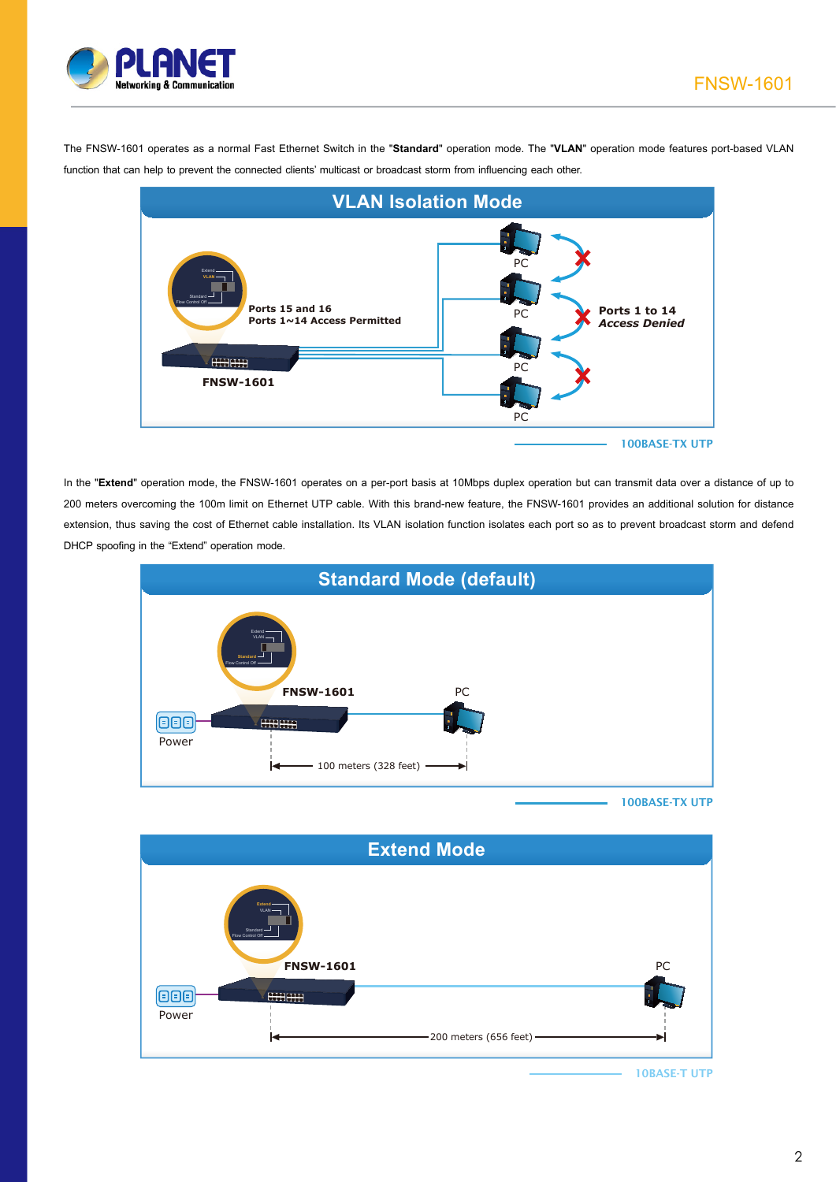

The FNSW-1601 operates as a normal Fast Ethernet Switch in the "**Standard**" operation mode. The "**VLAN**" operation mode features port-based VLAN function that can help to prevent the connected clients' multicast or broadcast storm from influencing each other.



In the "**Extend**" operation mode, the FNSW-1601 operates on a per-port basis at 10Mbps duplex operation but can transmit data over a distance of up to 200 meters overcoming the 100m limit on Ethernet UTP cable. With this brand-new feature, the FNSW-1601 provides an additional solution for distance extension, thus saving the cost of Ethernet cable installation. Its VLAN isolation function isolates each port so as to prevent broadcast storm and defend DHCP spoofing in the "Extend" operation mode.



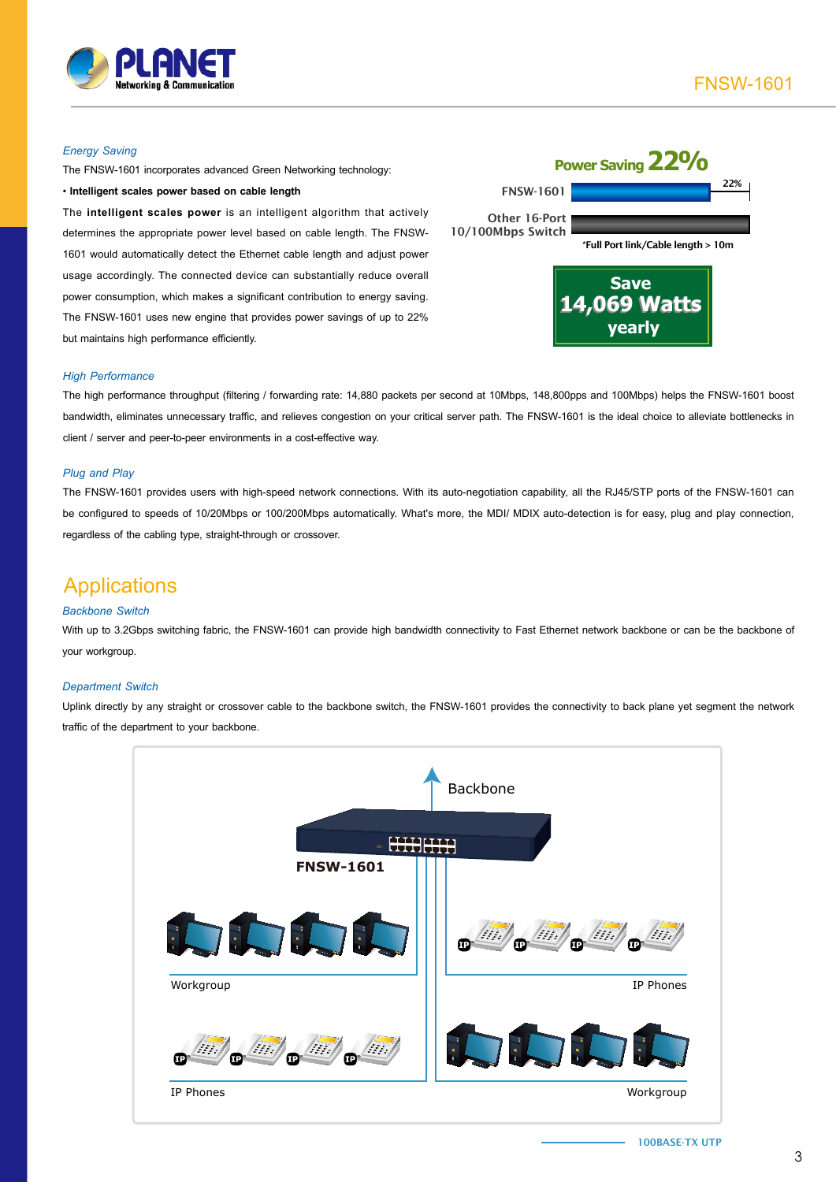

#### *Energy Saving*

The FNSW-1601 incorporates advanced Green Networking technology:

• **Intelligent scales power based on cable length**

The **intelligent scales power** is an intelligent algorithm that actively determines the appropriate power level based on cable length. The FNSW-1601 would automatically detect the Ethernet cable length and adjust power usage accordingly. The connected device can substantially reduce overall power consumption, which makes a significant contribution to energy saving. The FNSW-1601 uses new engine that provides power savings of up to 22% but maintains high performance efficiently.

|                                                         | Power Saving 22 <sup>0</sup> /0              |     |
|---------------------------------------------------------|----------------------------------------------|-----|
| <b>FNSW-1601</b>                                        |                                              | 22% |
| Other 16-Port                                           |                                              |     |
| 10/100Mbps Switch<br>*Full Port link/Cable length > 10m |                                              |     |
|                                                         | <b>Save</b><br><b>14,069 Watts</b><br>vearly |     |

#### *High Performance*

The high performance throughput (filtering / forwarding rate: 14,880 packets per second at 10Mbps, 148,800pps and 100Mbps) helps the FNSW-1601 boost bandwidth, eliminates unnecessary traffic, and relieves congestion on your critical server path. The FNSW-1601 is the ideal choice to alleviate bottlenecks in client / server and peer-to-peer environments in a cost-effective way.

#### *Plug and Play*

The FNSW-1601 provides users with high-speed network connections. With its auto-negotiation capability, all the RJ45/STP ports of the FNSW-1601 can be configured to speeds of 10/20Mbps or 100/200Mbps automatically. What's more, the MDI/ MDIX auto-detection is for easy, plug and play connection, regardless of the cabling type, straight-through or crossover.

## Applications

#### *Backbone Switch*

With up to 3.2Gbps switching fabric, the FNSW-1601 can provide high bandwidth connectivity to Fast Ethernet network backbone or can be the backbone of your workgroup.

#### *Department Switch*

Uplink directly by any straight or crossover cable to the backbone switch, the FNSW-1601 provides the connectivity to back plane yet segment the network traffic of the department to your backbone.



100BASE-TX UTP